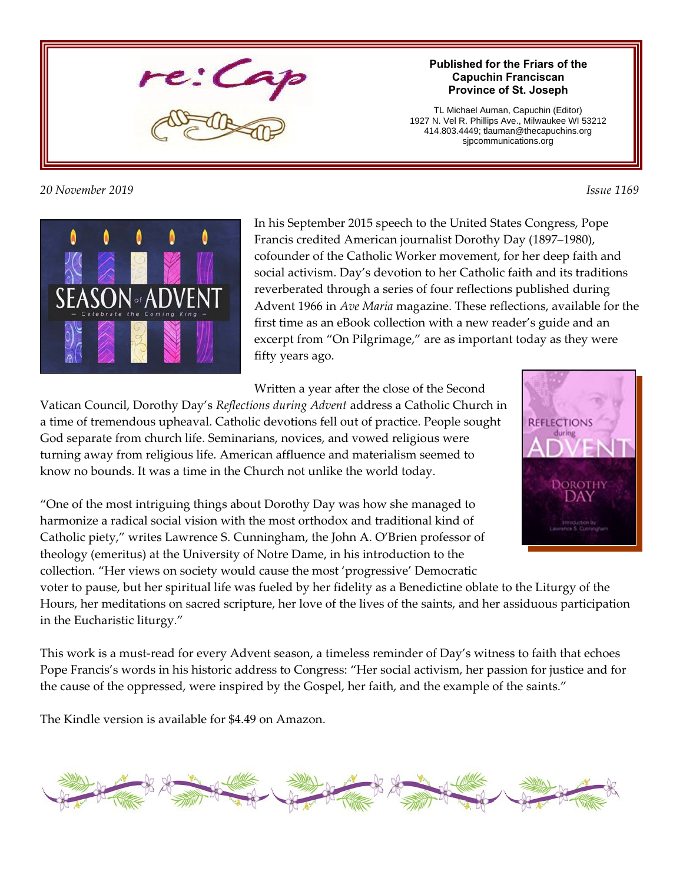

### *20 November 2019 Issue 1169*

#### **Published for the Friars of the Capuchin Franciscan Province of St. Joseph**

TL Michael Auman, Capuchin (Editor) 1927 N. Vel R. Phillips Ave., Milwaukee WI 53212 414.803.4449; tlauman@thecapuchins.org sjpcommunications.org



In his September 2015 speech to the United States Congress, Pope Francis credited American journalist Dorothy Day (1897–1980), cofounder of the Catholic Worker movement, for her deep faith and social activism. Day's devotion to her Catholic faith and its traditions reverberated through a series of four reflections published during Advent 1966 in *Ave Maria* magazine. These reflections, available for the first time as an eBook collection with a new reader's guide and an excerpt from "On Pilgrimage," are as important today as they were fifty years ago.

Written a year after the close of the Second

Vatican Council, Dorothy Day's *Reflections during Advent* address a Catholic Church in a time of tremendous upheaval. Catholic devotions fell out of practice. People sought God separate from church life. Seminarians, novices, and vowed religious were turning away from religious life. American affluence and materialism seemed to know no bounds. It was a time in the Church not unlike the world today.

"One of the most intriguing things about Dorothy Day was how she managed to harmonize a radical social vision with the most orthodox and traditional kind of Catholic piety," writes Lawrence S. Cunningham, the John A. O'Brien professor of theology (emeritus) at the University of Notre Dame, in his introduction to the collection. "Her views on society would cause the most 'progressive' Democratic



voter to pause, but her spiritual life was fueled by her fidelity as a Benedictine oblate to the Liturgy of the Hours, her meditations on sacred scripture, her love of the lives of the saints, and her assiduous participation in the Eucharistic liturgy."

This work is a must-read for every Advent season, a timeless reminder of Day's witness to faith that echoes Pope Francis's words in his historic address to Congress: "Her social activism, her passion for justice and for the cause of the oppressed, were inspired by the Gospel, her faith, and the example of the saints."

The Kindle version is available for \$4.49 on Amazon.

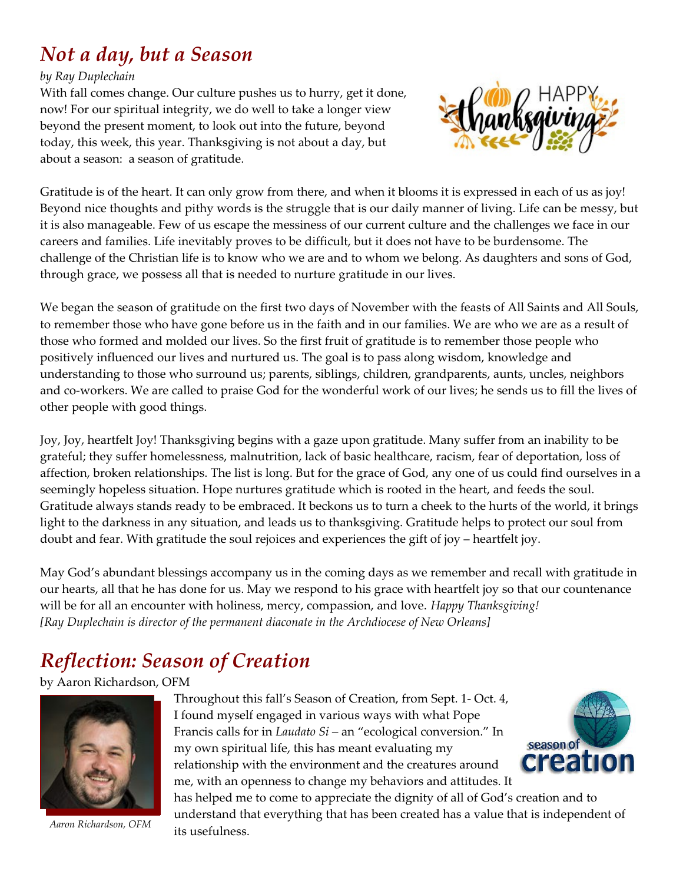## *Not a day, but a Season*

#### *by Ray Duplechain*

With fall comes change. Our culture pushes us to hurry, get it done, now! For our spiritual integrity, we do well to take a longer view beyond the present moment, to look out into the future, beyond today, this week, this year. Thanksgiving is not about a day, but about a season: a season of gratitude.



Gratitude is of the heart. It can only grow from there, and when it blooms it is expressed in each of us as joy! Beyond nice thoughts and pithy words is the struggle that is our daily manner of living. Life can be messy, but it is also manageable. Few of us escape the messiness of our current culture and the challenges we face in our careers and families. Life inevitably proves to be difficult, but it does not have to be burdensome. The challenge of the Christian life is to know who we are and to whom we belong. As daughters and sons of God, through grace, we possess all that is needed to nurture gratitude in our lives.

We began the season of gratitude on the first two days of November with the feasts of All Saints and All Souls, to remember those who have gone before us in the faith and in our families. We are who we are as a result of those who formed and molded our lives. So the first fruit of gratitude is to remember those people who positively influenced our lives and nurtured us. The goal is to pass along wisdom, knowledge and understanding to those who surround us; parents, siblings, children, grandparents, aunts, uncles, neighbors and co-workers. We are called to praise God for the wonderful work of our lives; he sends us to fill the lives of other people with good things.

Joy, Joy, heartfelt Joy! Thanksgiving begins with a gaze upon gratitude. Many suffer from an inability to be grateful; they suffer homelessness, malnutrition, lack of basic healthcare, racism, fear of deportation, loss of affection, broken relationships. The list is long. But for the grace of God, any one of us could find ourselves in a seemingly hopeless situation. Hope nurtures gratitude which is rooted in the heart, and feeds the soul. Gratitude always stands ready to be embraced. It beckons us to turn a cheek to the hurts of the world, it brings light to the darkness in any situation, and leads us to thanksgiving. Gratitude helps to protect our soul from doubt and fear. With gratitude the soul rejoices and experiences the gift of joy – heartfelt joy.

May God's abundant blessings accompany us in the coming days as we remember and recall with gratitude in our hearts, all that he has done for us. May we respond to his grace with heartfelt joy so that our countenance will be for all an encounter with holiness, mercy, compassion, and love. *Happy Thanksgiving! [Ray Duplechain is director of the permanent diaconate in the Archdiocese of New Orleans]*

## *Reflection: Season of Creation*

by Aaron Richardson, OFM



*Aaron Richardson, OFM*

Throughout this fall's Season of Creation, from Sept. 1- Oct. 4, I found myself engaged in various ways with what Pope Francis calls for in *Laudato Si –* an "ecological conversion." In my own spiritual life, this has meant evaluating my relationship with the environment and the creatures around me, with an openness to change my behaviors and attitudes. It



has helped me to come to appreciate the dignity of all of God's creation and to understand that everything that has been created has a value that is independent of its usefulness.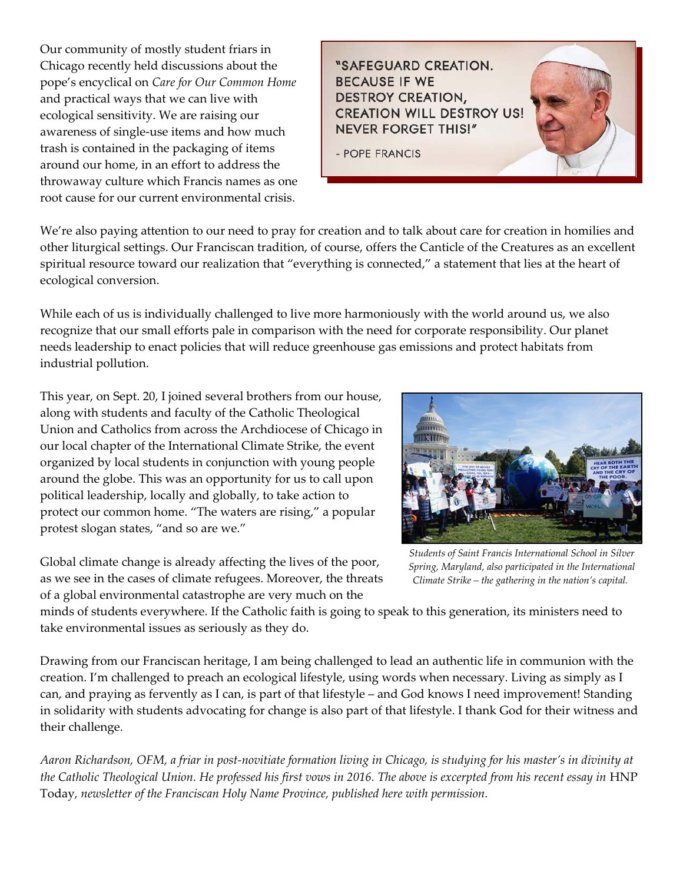Our community of mostly student friars in Chicago recently held discussions about the pope's encyclical on *Care for Our Common Home* and practical ways that we can live with ecological sensitivity. We are raising our awareness of single-use items and how much trash is contained in the packaging of items around our home, in an effort to address the throwaway culture which Francis names as one root cause for our current environmental crisis.

*<i>SAFEGUARD CREATION.* **BECAUSE IF WE** DESTROY CREATION, **CREATION WILL DESTROY US! NEVER FORGET THIS!"** 

- POPE FRANCIS

We're also paying attention to our need to pray for creation and to talk about care for creation in homilies and other liturgical settings. Our Franciscan tradition, of course, offers the Canticle of the Creatures as an excellent spiritual resource toward our realization that "everything is connected," a statement that lies at the heart of ecological conversion.

While each of us is individually challenged to live more harmoniously with the world around us, we also recognize that our small efforts pale in comparison with the need for corporate responsibility. Our planet needs leadership to enact policies that will reduce greenhouse gas emissions and protect habitats from industrial pollution.

This year, on Sept. 20, I joined several brothers from our house, along with students and faculty of the Catholic Theological Union and Catholics from across the Archdiocese of Chicago in our local chapter of the International Climate Strike, the event organized by local students in conjunction with young people around the globe. This was an opportunity for us to call upon political leadership, locally and globally, to take action to protect our common home. "The waters are rising," a popular protest slogan states, "and so are we."



*Students of Saint Francis International School in Silver Spring, Maryland, also participated in the International Climate Strike – the gathering in the nation's capital.* 

Global climate change is already affecting the lives of the poor, as we see in the cases of climate refugees. Moreover, the threats of a global environmental catastrophe are very much on the

minds of students everywhere. If the Catholic faith is going to speak to this generation, its ministers need to take environmental issues as seriously as they do.

Drawing from our Franciscan heritage, I am being challenged to lead an authentic life in communion with the creation. I'm challenged to preach an ecological lifestyle, using words when necessary. Living as simply as I can, and praying as fervently as I can, is part of that lifestyle – and God knows I need improvement! Standing in solidarity with students advocating for change is also part of that lifestyle. I thank God for their witness and their challenge.

*Aaron Richardson, OFM, a friar in post-novitiate formation living in Chicago, is studying for his master's in divinity at* the Catholic Theological Union. He professed his first vows in 2016. The above is excerpted from his recent essay in HNP Today*, newsletter of the Franciscan Holy Name Province, published here with permission.*